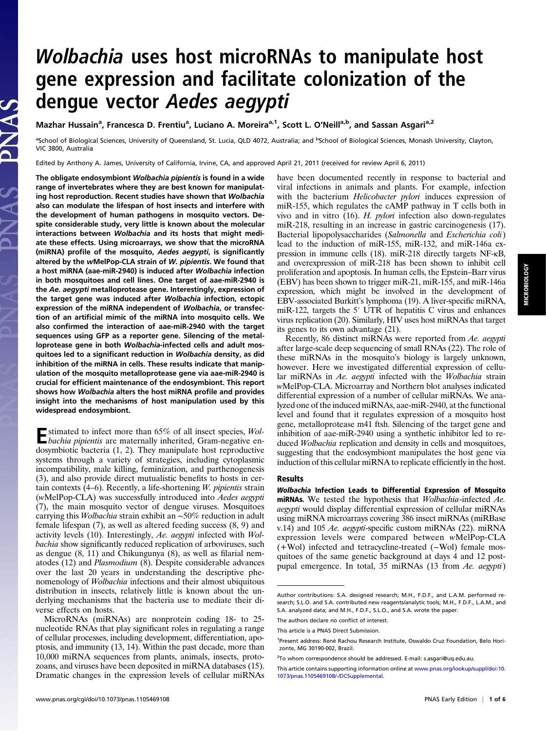## Wolbachia uses host microRNAs to manipulate host gene expression and facilitate colonization of the dengue vector Aedes aegypti

Mazhar Hussain<sup>a</sup>, Francesca D. Frentiu<sup>a</sup>, Luciano A. Moreira<sup>a, 1</sup>, Scott L. O'Neill<sup>a, b</sup>, and Sassan Asgari<sup>a, 2</sup>

<sup>a</sup>School of Biological Sciences, University of Queensland, St. Lucia, QLD 4072, Australia; and <sup>b</sup>School of Biological Sciences, Monash University, Clayton, VIC 3800, Australia

Edited by Anthony A. James, University of California, Irvine, CA, and approved April 21, 2011 (received for review April 6, 2011)

The obligate endosymbiont Wolbachia pipientis is found in a wide range of invertebrates where they are best known for manipulating host reproduction. Recent studies have shown that Wolbachia also can modulate the lifespan of host insects and interfere with the development of human pathogens in mosquito vectors. Despite considerable study, very little is known about the molecular interactions between Wolbachia and its hosts that might mediate these effects. Using microarrays, we show that the microRNA (miRNA) profile of the mosquito, Aedes aegypti, is significantly altered by the wMelPop-CLA strain of W. pipientis. We found that a host miRNA (aae-miR-2940) is induced after Wolbachia infection in both mosquitoes and cell lines. One target of aae-miR-2940 is the Ae. aegypti metalloprotease gene. Interestingly, expression of the target gene was induced after Wolbachia infection, ectopic expression of the miRNA independent of Wolbachia, or transfection of an artificial mimic of the miRNA into mosquito cells. We also confirmed the interaction of aae-miR-2940 with the target sequences using GFP as a reporter gene. Silencing of the metalloprotease gene in both Wolbachia-infected cells and adult mosquitoes led to a significant reduction in Wolbachia density, as did inhibition of the miRNA in cells. These results indicate that manipulation of the mosquito metalloprotease gene via aae-miR-2940 is crucial for efficient maintenance of the endosymbiont. This report shows how Wolbachia alters the host miRNA profile and provides insight into the mechanisms of host manipulation used by this widespread endosymbiont.

Estimated to infect more than 65% of all insect species, Wol-<br>bachia pipientis are maternally inherited, Gram-negative endosymbiotic bacteria (1, 2). They manipulate host reproductive systems through a variety of strategies, including cytoplasmic incompatibility, male killing, feminization, and parthenogenesis (3), and also provide direct mutualistic benefits to hosts in certain contexts  $(4-6)$ . Recently, a life-shortening *W. pipientis* strain (wMelPop-CLA) was successfully introduced into Aedes aegypti (7), the main mosquito vector of dengue viruses. Mosquitoes carrying this Wolbachia strain exhibit an ∼50% reduction in adult female lifespan (7), as well as altered feeding success (8, 9) and activity levels (10). Interestingly, Ae. aegypti infected with Wolbachia show significantly reduced replication of arboviruses, such as dengue (8, 11) and Chikungunya (8), as well as filarial nematodes (12) and Plasmodium (8). Despite considerable advances over the last 20 years in understanding the descriptive phenomenology of Wolbachia infections and their almost ubiquitous distribution in insects, relatively little is known about the underlying mechanisms that the bacteria use to mediate their diverse effects on hosts.

MicroRNAs (miRNAs) are nonprotein coding 18- to 25 nucleotide RNAs that play significant roles in regulating a range of cellular processes, including development, differentiation, apoptosis, and immunity (13, 14). Within the past decade, more than 10,000 miRNA sequences from plants, animals, insects, protozoans, and viruses have been deposited in miRNA databases (15). Dramatic changes in the expression levels of cellular miRNAs have been documented recently in response to bacterial and viral infections in animals and plants. For example, infection with the bacterium Helicobacter pylori induces expression of miR-155, which regulates the cAMP pathway in T cells both in vivo and in vitro (16). H. pylori infection also down-regulates miR-218, resulting in an increase in gastric carcinogenesis (17). Bacterial lipopolysaccharides (Salmonella and Escherichia coli) lead to the induction of miR-155, miR-132, and miR-146a expression in immune cells (18). miR-218 directly targets NF-κB, and overexpression of miR-218 has been shown to inhibit cell proliferation and apoptosis. In human cells, the Epstein–Barr virus (EBV) has been shown to trigger miR-21, miR-155, and miR-146a expression, which might be involved in the development of EBV-associated Burkitt's lymphoma (19). A liver-specific miRNA, miR-122, targets the 5' UTR of hepatitis C virus and enhances virus replication (20). Similarly, HIV uses host miRNAs that target its genes to its own advantage (21).

Recently, 86 distinct miRNAs were reported from Ae. aegypti after large-scale deep sequencing of small RNAs (22). The role of these miRNAs in the mosquito's biology is largely unknown, however. Here we investigated differential expression of cellular miRNAs in Ae. aegypti infected with the Wolbachia strain wMelPop-CLA. Microarray and Northern blot analyses indicated differential expression of a number of cellular miRNAs. We analyzed one of the induced miRNAs, aae-miR-2940, at the functional level and found that it regulates expression of a mosquito host gene, metalloprotease m41 ftsh. Silencing of the target gene and inhibition of aae-miR-2940 using a synthetic inhibitor led to reduced Wolbachia replication and density in cells and mosquitoes, suggesting that the endosymbiont manipulates the host gene via induction of this cellular miRNA to replicate efficiently in the host.

## Results

Wolbachia Infection Leads to Differential Expression of Mosquito miRNAs. We tested the hypothesis that Wolbachia-infected Ae. aegypti would display differential expression of cellular miRNAs using miRNA microarrays covering 386 insect miRNAs (miRBase v.14) and 105 Ae. aegypti-specific custom miRNAs (22). miRNA expression levels were compared between wMelPop-CLA (+Wol) infected and tetracycline-treated (−Wol) female mosquitoes of the same genetic background at days 4 and 12 postpupal emergence. In total, 35 miRNAs (13 from Ae. aegypti)

Author contributions: S.A. designed research; M.H., F.D.F., and L.A.M. performed research; S.L.O. and S.A. contributed new reagents/analytic tools; M.H., F.D.F., L.A.M., and S.A. analyzed data; and M.H., F.D.F., S.L.O., and S.A. wrote the paper.

The authors declare no conflict of interest.

This article is a PNAS Direct Submission.

<sup>&</sup>lt;sup>1</sup>Present address: René Rachou Research Institute, Oswaldo Cruz Foundation, Belo Horizonte, MG 30190-002, Brazil.

<sup>&</sup>lt;sup>2</sup>To whom correspondence should be addressed. E-mail: [s.asgari@uq.edu.au](mailto:s.asgari@uq.edu.au).

This article contains supporting information online at [www.pnas.org/lookup/suppl/doi:10.](http://www.pnas.org/lookup/suppl/doi:10.1073/pnas.1105469108/-/DCSupplemental) [1073/pnas.1105469108/-/DCSupplemental](http://www.pnas.org/lookup/suppl/doi:10.1073/pnas.1105469108/-/DCSupplemental).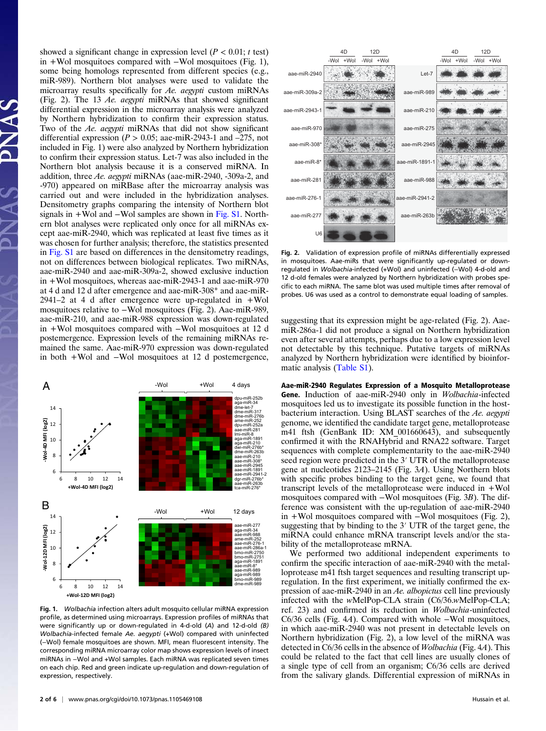showed a significant change in expression level ( $P < 0.01$ ; t test) in +Wol mosquitoes compared with −Wol mosquitoes (Fig. 1), some being homologs represented from different species (e.g., miR-989). Northern blot analyses were used to validate the microarray results specifically for Ae. aegypti custom miRNAs (Fig. 2). The 13 Ae. aegypti miRNAs that showed significant differential expression in the microarray analysis were analyzed by Northern hybridization to confirm their expression status. Two of the Ae. aegypti miRNAs that did not show significant differential expression ( $P > 0.05$ ; aae-miR-2943-1 and -275, not included in Fig. 1) were also analyzed by Northern hybridization to confirm their expression status. Let-7 was also included in the Northern blot analysis because it is a conserved miRNA. In addition, three Ae. aegypti miRNAs (aae-miR-2940, -309a-2, and -970) appeared on miRBase after the microarray analysis was carried out and were included in the hybridization analyses. Densitometry graphs comparing the intensity of Northern blot signals in +Wol and  $-Wol$  samples are shown in [Fig. S1](http://www.pnas.org/lookup/suppl/doi:10.1073/pnas.1105469108/-/DCSupplemental/pnas.201105469SI.pdf?targetid=nameddest=SF1). Northern blot analyses were replicated only once for all miRNAs except aae-miR-2940, which was replicated at least five times as it was chosen for further analysis; therefore, the statistics presented in [Fig. S1](http://www.pnas.org/lookup/suppl/doi:10.1073/pnas.1105469108/-/DCSupplemental/pnas.201105469SI.pdf?targetid=nameddest=SF1) are based on differences in the densitometry readings, not on differences between biological replicates. Two miRNAs, aae-miR-2940 and aae-miR-309a-2, showed exclusive induction in +Wol mosquitoes, whereas aae-miR-2943-1 and aae-miR-970 at 4 d and 12 d after emergence and aae-miR-308\* and aae-miR-2941–2 at 4 d after emergence were up-regulated in +Wol mosquitoes relative to −Wol mosquitoes (Fig. 2). Aae-miR-989, aae-miR-210, and aae-miR-988 expression was down-regulated in +Wol mosquitoes compared with −Wol mosquitoes at 12 d postemergence. Expression levels of the remaining miRNAs remained the same. Aae-miR-970 expression was down-regulated in both +Wol and −Wol mosquitoes at 12 d postemergence,



Fig. 1. Wolbachia infection alters adult mosquito cellular miRNA expression profile, as determined using microarrays. Expression profiles of miRNAs that were significantly up or down-regulated in 4-d-old (A) and 12-d-old (B) Wolbachia-infected female Ae. aegypti (+Wol) compared with uninfected (−Wol) female mosquitoes are shown. MFI, mean fluorescent intensity. The corresponding miRNA microarray color map shows expression levels of insect miRNAs in −Wol and +Wol samples. Each miRNA was replicated seven times on each chip. Red and green indicate up-regulation and down-regulation of expression, respectively.



Fig. 2. Validation of expression profile of miRNAs differentially expressed in mosquitoes. Aae-miRs that were significantly up-regulated or downregulated in Wolbachia-infected (+Wol) and uninfected (−Wol) 4-d-old and 12 d-old females were analyzed by Northern hybridization with probes specific to each miRNA. The same blot was used multiple times after removal of probes. U6 was used as a control to demonstrate equal loading of samples.

suggesting that its expression might be age-related (Fig. 2). AaemiR-286a-1 did not produce a signal on Northern hybridization even after several attempts, perhaps due to a low expression level not detectable by this technique. Putative targets of miRNAs analyzed by Northern hybridization were identified by bioinformatic analysis ([Table S1\)](http://www.pnas.org/lookup/suppl/doi:10.1073/pnas.1105469108/-/DCSupplemental/st01.doc).

Aae-miR-2940 Regulates Expression of a Mosquito Metalloprotease Gene. Induction of aae-miR-2940 only in Wolbachia-infected mosquitoes led us to investigate its possible function in the hostbacterium interaction. Using BLAST searches of the Ae. aegypti genome, we identified the candidate target gene, metalloprotease m41 ftsh (GenBank ID: XM\_001660643), and subsequently confirmed it with the RNAHybrid and RNA22 software. Target sequences with complete complementarity to the aae-miR-2940 seed region were predicted in the 3′ UTR of the metalloprotease gene at nucleotides 2123–2145 (Fig. 3A). Using Northern blots with specific probes binding to the target gene, we found that transcript levels of the metalloprotease were induced in +Wol mosquitoes compared with −Wol mosquitoes (Fig. 3B). The difference was consistent with the up-regulation of aae-miR-2940 in +Wol mosquitoes compared with −Wol mosquitoes (Fig. 2), suggesting that by binding to the 3′ UTR of the target gene, the miRNA could enhance mRNA transcript levels and/or the stability of the metalloprotease mRNA.

We performed two additional independent experiments to confirm the specific interaction of aae-miR-2940 with the metalloprotease m41 ftsh target sequences and resulting transcript upregulation. In the first experiment, we initially confirmed the expression of aae-miR-2940 in an Ae. albopictus cell line previously infected with the wMelPop-CLA strain (C6/36.wMelPop-CLA; ref. 23) and confirmed its reduction in Wolbachia-uninfected C6/36 cells (Fig. 4A). Compared with whole −Wol mosquitoes, in which aae-miR-2940 was not present in detectable levels on Northern hybridization (Fig. 2), a low level of the miRNA was detected in C6/36 cells in the absence of Wolbachia (Fig. 4A). This could be related to the fact that cell lines are usually clones of a single type of cell from an organism; C6/36 cells are derived from the salivary glands. Differential expression of miRNAs in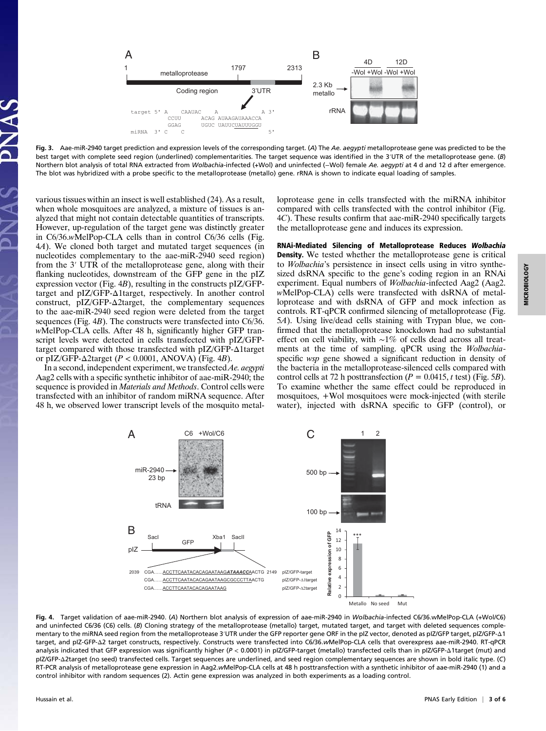

Fig. 3. Aae-miR-2940 target prediction and expression levels of the corresponding target. (A) The Ae. aegypti metalloprotease gene was predicted to be the best target with complete seed region (underlined) complementarities. The target sequence was identified in the 3′UTR of the metalloprotease gene. (B) Northern blot analysis of total RNA extracted from Wolbachia-infected (+Wol) and uninfected (-Wol) female Ae. aegypti at 4 d and 12 d after emergence. The blot was hybridized with a probe specific to the metalloprotease (metallo) gene. rRNA is shown to indicate equal loading of samples.

various tissues within an insect is well established (24). As a result, when whole mosquitoes are analyzed, a mixture of tissues is analyzed that might not contain detectable quantities of transcripts. However, up-regulation of the target gene was distinctly greater in C6/36.wMelPop-CLA cells than in control C6/36 cells (Fig. 4A). We cloned both target and mutated target sequences (in nucleotides complementary to the aae-miR-2940 seed region) from the 3′ UTR of the metalloprotease gene, along with their flanking nucleotides, downstream of the GFP gene in the pIZ expression vector (Fig.  $4B$ ), resulting in the constructs pIZ/GFPtarget and pIZ/GFP-Δ1target, respectively. In another control construct, pIZ/GFP-Δ2target, the complementary sequences to the aae-miR-2940 seed region were deleted from the target sequences (Fig. 4*B*). The constructs were transfected into C6/36. wMelPop-CLA cells. After 48 h, significantly higher GFP transcript levels were detected in cells transfected with pIZ/GFPtarget compared with those transfected with pIZ/GFP-Δ1target or pIZ/GFP- $\Delta$ 2target (P < 0.0001, ANOVA) (Fig. 4B).

In a second, independent experiment, we transfected Ae. aegypti Aag2 cells with a specific synthetic inhibitor of aae-miR-2940; the sequence is provided in Materials and Methods. Control cells were transfected with an inhibitor of random miRNA sequence. After 48 h, we observed lower transcript levels of the mosquito metalloprotease gene in cells transfected with the miRNA inhibitor compared with cells transfected with the control inhibitor (Fig. 4C). These results confirm that aae-miR-2940 specifically targets the metalloprotease gene and induces its expression.

RNAi-Mediated Silencing of Metalloprotease Reduces Wolbachia **Density.** We tested whether the metalloprotease gene is critical to Wolbachia's persistence in insect cells using in vitro synthesized dsRNA specific to the gene's coding region in an RNAi experiment. Equal numbers of Wolbachia-infected Aag2 (Aag2. wMelPop-CLA) cells were transfected with dsRNA of metalloprotease and with dsRNA of GFP and mock infection as controls. RT-qPCR confirmed silencing of metalloprotease (Fig. 5A). Using live/dead cells staining with Trypan blue, we confirmed that the metalloprotease knockdown had no substantial effect on cell viability, with ∼1% of cells dead across all treatments at the time of sampling. qPCR using the Wolbachiaspecific wsp gene showed a significant reduction in density of the bacteria in the metalloprotease-silenced cells compared with control cells at 72 h posttransfection ( $P = 0.0415$ , t test) (Fig. 5B). To examine whether the same effect could be reproduced in mosquitoes, +Wol mosquitoes were mock-injected (with sterile water), injected with dsRNA specific to GFP (control), or



Fig. 4. Target validation of aae-miR-2940. (A) Northern blot analysis of expression of aae-miR-2940 in Wolbachia-infected C6/36.wMelPop-CLA (+Wol/C6) and uninfected C6/36 (C6) cells. (B) Cloning strategy of the metalloprotease (metallo) target, mutated target, and target with deleted sequences complementary to the miRNA seed region from the metalloprotease 3′UTR under the GFP reporter gene ORF in the pIZ vector, denoted as pIZ/GFP target, pIZ/GFP-Δ1 target, and pIZ-GFP-Δ2 target constructs, respectively. Constructs were transfected into C6/36.wMelPop-CLA cells that overexpress aae-miR-2940. RT-qPCR analysis indicated that GFP expression was significantly higher (P < 0.0001) in pIZ/GFP-target (metallo) transfected cells than in pIZ/GFP-Δ1target (mut) and pIZ/GFP-Δ2target (no seed) transfected cells. Target sequences are underlined, and seed region complementary sequences are shown in bold italic type. (C) RT-PCR analysis of metalloprotease gene expression in Aag2.wMelPop-CLA cells at 48 h posttransfection with a synthetic inhibitor of aae-miR-2940 (1) and a control inhibitor with random sequences (2). Actin gene expression was analyzed in both experiments as a loading control.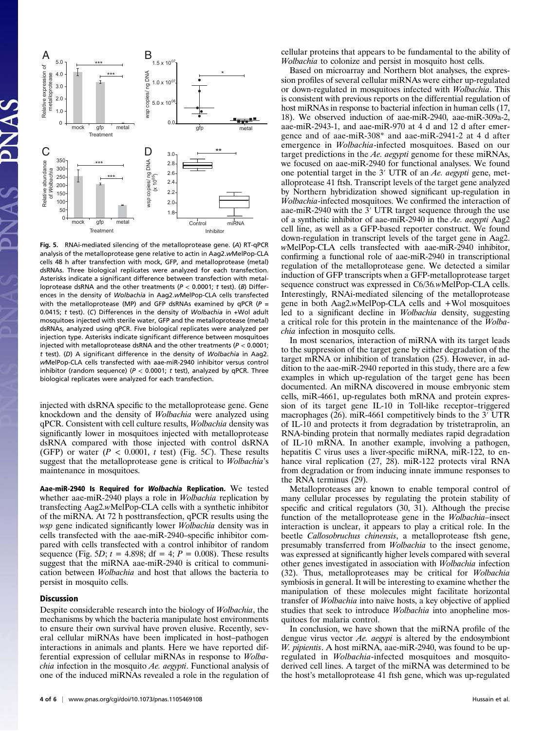

Fig. 5. RNAi-mediated silencing of the metalloprotease gene. (A) RT-qPCR analysis of the metalloprotease gene relative to actin in Aag2.wMelPop-CLA cells 48 h after transfection with mock, GFP, and metalloprotease (metal) dsRNAs. Three biological replicates were analyzed for each transfection. Asterisks indicate a significant difference between transfection with metalloprotease dsRNA and the other treatments ( $P < 0.0001$ ; t test). (B) Differences in the density of Wolbachia in Aag2.wMelPop-CLA cells transfected with the metalloprotease (MP) and GFP dsRNAs examined by qPCR ( $P =$ 0.0415;  $t$  test). (C) Differences in the density of Wolbachia in +Wol adult mosquitoes injected with sterile water, GFP and the metalloprotease (metal) dsRNAs, analyzed using qPCR. Five biological replicates were analyzed per injection type. Asterisks indicate significant difference between mosquitoes injected with metalloprotease dsRNA and the other treatments ( $P < 0.0001$ ; t test). (D) A significant difference in the density of Wolbachia in Aag2. wMelPop-CLA cells transfected with aae-miR-2940 inhibitor versus control inhibitor (random sequence) ( $P < 0.0001$ ; t test), analyzed by qPCR. Three biological replicates were analyzed for each transfection.

injected with dsRNA specific to the metalloprotease gene. Gene knockdown and the density of Wolbachia were analyzed using qPCR. Consistent with cell culture results, Wolbachia density was significantly lower in mosquitoes injected with metalloprotease dsRNA compared with those injected with control dsRNA (GFP) or water ( $P < 0.0001$ , t test) (Fig. 5C). These results suggest that the metalloprotease gene is critical to Wolbachia's maintenance in mosquitoes.

Aae-miR-2940 Is Required for Wolbachia Replication. We tested whether aae-miR-2940 plays a role in Wolbachia replication by transfecting Aag2.wMelPop-CLA cells with a synthetic inhibitor of the miRNA. At 72 h posttransfection, qPCR results using the wsp gene indicated significantly lower Wolbachia density was in cells transfected with the aae-miR-2940–specific inhibitor compared with cells transfected with a control inhibitor of random sequence (Fig. 5*D*;  $t = 4.898$ ; df = 4;  $P = 0.008$ ). These results suggest that the miRNA aae-miR-2940 is critical to communication between Wolbachia and host that allows the bacteria to persist in mosquito cells.

## Discussion

Despite considerable research into the biology of Wolbachia, the mechanisms by which the bacteria manipulate host environments to ensure their own survival have proven elusive. Recently, several cellular miRNAs have been implicated in host–pathogen interactions in animals and plants. Here we have reported differential expression of cellular miRNAs in response to Wolba*chia* infection in the mosquito  $Ae$ . *aegypti*. Functional analysis of one of the induced miRNAs revealed a role in the regulation of cellular proteins that appears to be fundamental to the ability of Wolbachia to colonize and persist in mosquito host cells.

Based on microarray and Northern blot analyses, the expression profiles of several cellular miRNAs were either up-regulated or down-regulated in mosquitoes infected with Wolbachia. This is consistent with previous reports on the differential regulation of host miRNAs in response to bacterial infection in human cells (17, 18). We observed induction of aae-miR-2940, aae-miR-309a-2, aae-miR-2943-1, and aae-miR-970 at 4 d and 12 d after emergence and of aae-miR-308\* and aae-miR-2941-2 at 4 d after emergence in Wolbachia-infected mosquitoes. Based on our target predictions in the Ae. aegypti genome for these miRNAs, we focused on aae-miR-2940 for functional analyses. We found one potential target in the 3′ UTR of an Ae. aegypti gene, metalloprotease 41 ftsh. Transcript levels of the target gene analyzed by Northern hybridization showed significant up-regulation in Wolbachia-infected mosquitoes. We confirmed the interaction of aae-miR-2940 with the  $3'$  UTR target sequence through the use of a synthetic inhibitor of aae-miR-2940 in the Ae. aegypti Aag2 cell line, as well as a GFP-based reporter construct. We found down-regulation in transcript levels of the target gene in Aag2. wMelPop-CLA cells transfected with aae-miR-2940 inhibitor, confirming a functional role of aae-miR-2940 in transcriptional regulation of the metalloprotease gene. We detected a similar induction of GFP transcripts when a GFP-metalloprotease target sequence construct was expressed in C6/36.wMelPop-CLA cells. Interestingly, RNAi-mediated silencing of the metalloprotease gene in both Aag2.wMelPop-CLA cells and +Wol mosquitoes led to a significant decline in Wolbachia density, suggesting a critical role for this protein in the maintenance of the Wolbachia infection in mosquito cells.

In most scenarios, interaction of miRNA with its target leads to the suppression of the target gene by either degradation of the target mRNA or inhibition of translation (25). However, in addition to the aae-miR-2940 reported in this study, there are a few examples in which up-regulation of the target gene has been documented. An miRNA discovered in mouse embryonic stem cells, miR-4661, up-regulates both mRNA and protein expression of its target gene IL-10 in Toll-like receptor–triggered macrophages (26). miR-4661 competitively binds to the 3′ UTR of IL-10 and protects it from degradation by tristetraprolin, an RNA-binding protein that normally mediates rapid degradation of IL-10 mRNA. In another example, involving a pathogen, hepatitis C virus uses a liver-specific miRNA, miR-122, to enhance viral replication (27, 28). miR-122 protects viral RNA from degradation or from inducing innate immune responses to the RNA terminus (29).

Metalloproteases are known to enable temporal control of many cellular processes by regulating the protein stability of specific and critical regulators (30, 31). Although the precise function of the metalloprotease gene in the Wolbachia–insect interaction is unclear, it appears to play a critical role. In the beetle Callosobruchus chinensis, a metalloprotease ftsh gene, presumably transferred from Wolbachia to the insect genome, was expressed at significantly higher levels compared with several other genes investigated in association with Wolbachia infection (32). Thus, metalloproteases may be critical for Wolbachia symbiosis in general. It will be interesting to examine whether the manipulation of these molecules might facilitate horizontal transfer of Wolbachia into naïve hosts, a key objective of applied studies that seek to introduce Wolbachia into anopheline mosquitoes for malaria control.

In conclusion, we have shown that the miRNA profile of the dengue virus vector  $Ae$ . aegypi is altered by the endosymbiont W. *pipientis*. A host miRNA, aae-miR-2940, was found to be upregulated in *Wolbachia*-infected mosquitoes and mosquitoderived cell lines. A target of the miRNA was determined to be the host's metalloprotease 41 ftsh gene, which was up-regulated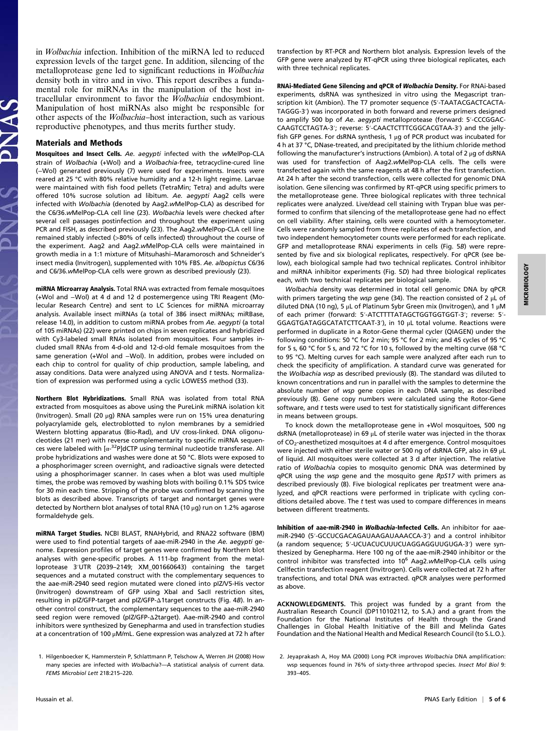**MICROBIOLOGY** MICROBIOLOGY

in Wolbachia infection. Inhibition of the miRNA led to reduced expression levels of the target gene. In addition, silencing of the metalloprotease gene led to significant reductions in Wolbachia density both in vitro and in vivo. This report describes a fundamental role for miRNAs in the manipulation of the host intracellular environment to favor the Wolbachia endosymbiont. Manipulation of host miRNAs also might be responsible for other aspects of the Wolbachia–host interaction, such as various reproductive phenotypes, and thus merits further study.

## Materials and Methods

Mosquitoes and Insect Cells. Ae. aegypti infected with the wMelPop-CLA strain of Wolbachia (+Wol) and a Wolbachia-free, tetracycline-cured line (−Wol) generated previously (7) were used for experiments. Insects were reared at 25 °C with 80% relative humidity and a 12-h light regime. Larvae were maintained with fish food pellets (TetraMin; Tetra) and adults were offered 10% sucrose solution ad libitum. Ae. aegypti Aag2 cells were infected with Wolbachia (denoted by Aag2.wMelPop-CLA) as described for the C6/36.wMelPop-CLA cell line (23). Wolbachia levels were checked after several cell passages postinfection and throughout the experiment using PCR and FISH, as described previously (23). The Aag2.wMelPop-CLA cell line remained stably infected (>80% of cells infected) throughout the course of the experiment. Aag2 and Aag2.wMelPop-CLA cells were maintained in growth media in a 1:1 mixture of Mitsuhashi–Maramorosch and Schneider's insect media (Invitrogen), supplemented with 10% FBS. Ae. albopictus C6/36 and C6/36.wMelPop-CLA cells were grown as described previously (23).

miRNA Microarray Analysis. Total RNA was extracted from female mosquitoes (+Wol and −Wol) at 4 d and 12 d postemergence using TRI Reagent (Molecular Research Centre) and sent to LC Sciences for miRNA microarray analysis. Available insect miRNAs (a total of 386 insect miRNAs; miRBase, release 14.0), in addition to custom miRNA probes from Ae. aegypti (a total of 105 miRNAs) (22) were printed on chips in seven replicates and hybridized with Cy3-labeled small RNAs isolated from mosquitoes. Four samples included small RNAs from 4-d-old and 12-d-old female mosquitoes from the same generation (+Wol and −Wol). In addition, probes were included on each chip to control for quality of chip production, sample labeling, and assay conditions. Data were analyzed using ANOVA and t tests. Normalization of expression was performed using a cyclic LOWESS method (33).

Northern Blot Hybridizations. Small RNA was isolated from total RNA extracted from mosquitoes as above using the PureLink miRNA isolation kit (Invitrogen). Small (20 μg) RNA samples were run on 15% urea denaturing polyacrylamide gels, electroblotted to nylon membranes by a semidried Western blotting apparatus (Bio-Rad), and UV cross-linked. DNA oligonucleotides (21 mer) with reverse complementarity to specific miRNA sequences were labeled with  $[\alpha^{-32}P]$ dCTP using terminal nucleotide transferase. All probe hybridizations and washes were done at 50 °C. Blots were exposed to a phosphorimager screen overnight, and radioactive signals were detected using a phosphorimager scanner. In cases when a blot was used multiple times, the probe was removed by washing blots with boiling 0.1% SDS twice for 30 min each time. Stripping of the probe was confirmed by scanning the blots as described above. Transcripts of target and nontarget genes were detected by Northern blot analyses of total RNA (10 μg) run on 1.2% agarose formaldehyde gels.

miRNA Target Studies. NCBI BLAST, RNAHybrid, and RNA22 software (IBM) were used to find potential targets of aae-miR-2940 in the Ae. aegypti genome. Expression profiles of target genes were confirmed by Northern blot analyses with gene-specific probes. A 111-bp fragment from the metalloprotease 3′UTR (2039–2149; XM\_001660643) containing the target sequences and a mutated construct with the complementary sequences to the aae-miR-2940 seed region mutated were cloned into pIZ/V5-His vector (Invitrogen) downstream of GFP using XbaI and SacII restriction sites, resulting in pIZ/GFP-target and pIZ/GFP-Δ1target constructs (Fig. 4B). In another control construct, the complementary sequences to the aae-miR-2940 seed region were removed (pIZ/GFP-Δ2target). Aae-miR-2940 and control inhibitors were synthesized by Genepharma and used in transfection studies at a concentration of 100 μM/mL. Gene expression was analyzed at 72 h after

1. Hilgenboecker K, Hammerstein P, Schlattmann P, Telschow A, Werren JH (2008) How many species are infected with Wolbachia?—A statistical analysis of current data. FEMS Microbiol Lett 218:215–220.

transfection by RT-PCR and Northern blot analysis. Expression levels of the GFP gene were analyzed by RT-qPCR using three biological replicates, each with three technical replicates.

RNAi-Mediated Gene Silencing and qPCR of Wolbachia Density. For RNAi-based experiments, dsRNA was synthesized in vitro using the Megascript transcription kit (Ambion). The T7 promoter sequence (5′-TAATACGACTCACTA-TAGGG-3′) was incorporated in both forward and reverse primers designed to amplify 500 bp of Ae. aegypti metalloprotease (forward: 5′-CCCGGAC-CAAGTCCTAGTA-3′; reverse: 5′-CAACTCTTTCGGCACGTAA-3′) and the jellyfish GFP genes. For dsRNA synthesis, 1 μg of PCR product was incubated for 4 h at 37 °C, DNase-treated, and precipitated by the lithium chloride method following the manufacturer's instructions (Ambion). A total of 2 μg of dsRNA was used for transfection of Aag2.wMelPop-CLA cells. The cells were transfected again with the same reagents at 48 h after the first transfection. At 24 h after the second transfection, cells were collected for genomic DNA isolation. Gene silencing was confirmed by RT-qPCR using specific primers to the metalloprotease gene. Three biological replicates with three technical replicates were analyzed. Live/dead cell staining with Trypan blue was performed to confirm that silencing of the metalloprotease gene had no effect on cell viability. After staining, cells were counted with a hemocytometer. Cells were randomly sampled from three replicates of each transfection, and two independent hemocytometer counts were performed for each replicate. GFP and metalloprotease RNAi experiments in cells (Fig. 5B) were represented by five and six biological replicates, respectively. For qPCR (see below), each biological sample had two technical replicates. Control inhibitor and miRNA inhibitor experiments (Fig. 5D) had three biological replicates each, with two technical replicates per biological sample.

Wolbachia density was determined in total cell genomic DNA by qPCR with primers targeting the wsp gene (34). The reaction consisted of 2 μL of diluted DNA (10 ng), 5 μL of Platinum Sybr Green mix (Invitrogen), and 1 μM of each primer (forward: 5′-ATCTTTTATAGCTGGTGGTGGT-3′; reverse: 5′- GGAGTGATAGGCATATCTTCAAT-3′), in 10 μL total volume. Reactions were performed in duplicate in a Rotor-Gene thermal cycler (QIAGEN) under the following conditions: 50 °C for 2 min; 95 °C for 2 min; and 45 cycles of 95 °C for 5 s, 60 °C for 5 s, and 72 °C for 10 s, followed by the melting curve (68 °C to 95 °C). Melting curves for each sample were analyzed after each run to check the specificity of amplification. A standard curve was generated for the Wolbachia wsp as described previously (8). The standard was diluted to known concentrations and run in parallel with the samples to determine the absolute number of wsp gene copies in each DNA sample, as described previously (8). Gene copy numbers were calculated using the Rotor-Gene software, and t tests were used to test for statistically significant differences in means between groups.

To knock down the metalloprotease gene in +Wol mosquitoes, 500 ng dsRNA (metalloprotease) in 69 μL of sterile water was injected in the thorax of CO<sub>2</sub>-anesthetized mosquitoes at 4 d after emergence. Control mosquitoes were injected with either sterile water or 500 ng of dsRNA GFP, also in 69 μL of liquid. All mosquitoes were collected at 3 d after injection. The relative ratio of Wolbachia copies to mosquito genomic DNA was determined by qPCR using the wsp gene and the mosquito gene RpS17 with primers as described previously (8). Five biological replicates per treatment were analyzed, and qPCR reactions were performed in triplicate with cycling conditions detailed above. The t test was used to compare differences in means between different treatments.

Inhibition of aae-miR-2940 in Wolbachia-Infected Cells. An inhibitor for aaemiR-2940 (5′-GCCUCGACAGAUAAGAUAAACCA-3′) and a control inhibitor (a random sequence; 5′-UCUACUCUUUCUAGGAGGUUGUGA-3′) were synthesized by Genepharma. Here 100 ng of the aae-miR-2940 inhibitor or the control inhibitor was transfected into 10<sup>6</sup> Aag2.wMelPop-CLA cells using Cellfectin transfection reagent (Invitrogen). Cells were collected at 72 h after transfections, and total DNA was extracted. qPCR analyses were performed as above.

ACKNOWLEDGMENTS. This project was funded by a grant from the Australian Research Council (DP110102112, to S.A.) and a grant from the Foundation for the National Institutes of Health through the Grand Challenges in Global Health Initiative of the Bill and Melinda Gates Foundation and the National Health and Medical Research Council (to S.L.O.).

2. Jeyaprakash A, Hoy MA (2000) Long PCR improves Wolbachia DNA amplification: wsp sequences found in 76% of sixty-three arthropod species. Insect Mol Biol 9: 393–405.